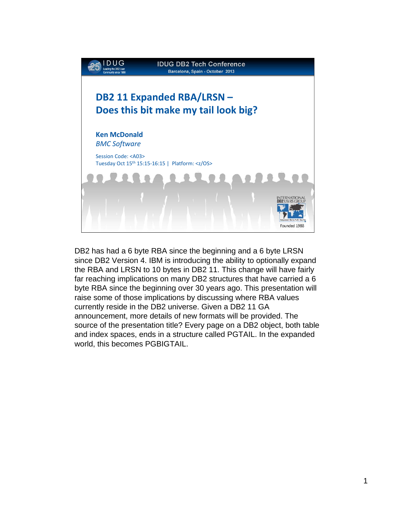

DB2 has had a 6 byte RBA since the beginning and a 6 byte LRSN since DB2 Version 4. IBM is introducing the ability to optionally expand the RBA and LRSN to 10 bytes in DB2 11. This change will have fairly far reaching implications on many DB2 structures that have carried a 6 byte RBA since the beginning over 30 years ago. This presentation will raise some of those implications by discussing where RBA values currently reside in the DB2 universe. Given a DB2 11 GA announcement, more details of new formats will be provided. The source of the presentation title? Every page on a DB2 object, both table and index spaces, ends in a structure called PGTAIL. In the expanded world, this becomes PGBIGTAIL.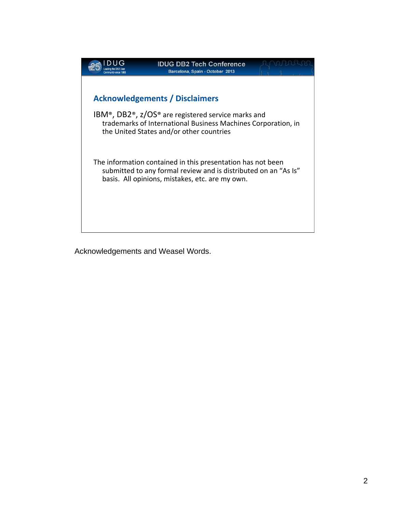

Acknowledgements and Weasel Words.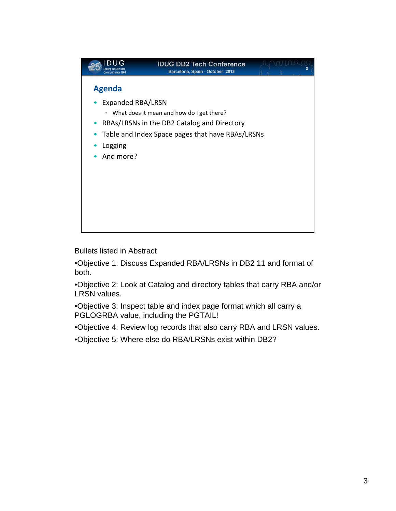

Bullets listed in Abstract

•Objective 1: Discuss Expanded RBA/LRSNs in DB2 11 and format of both.

•Objective 2: Look at Catalog and directory tables that carry RBA and/or LRSN values.

•Objective 3: Inspect table and index page format which all carry a PGLOGRBA value, including the PGTAIL!

•Objective 4: Review log records that also carry RBA and LRSN values.

•Objective 5: Where else do RBA/LRSNs exist within DB2?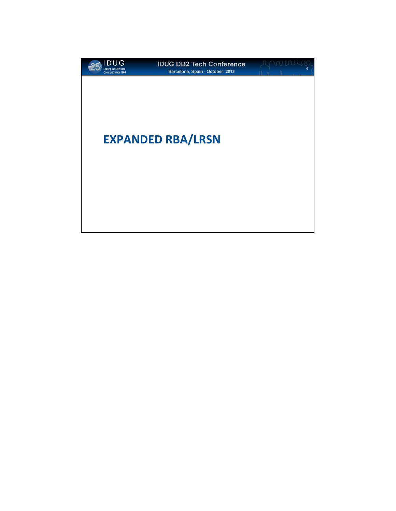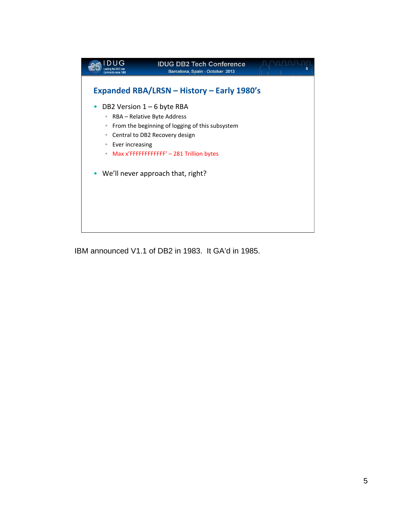

IBM announced V1.1 of DB2 in 1983. It GA'd in 1985.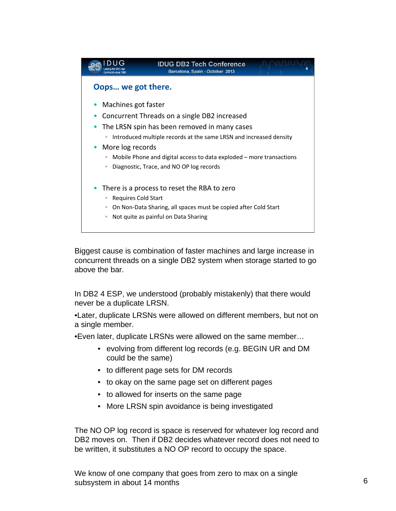

Biggest cause is combination of faster machines and large increase in concurrent threads on a single DB2 system when storage started to go above the bar.

In DB2 4 ESP, we understood (probably mistakenly) that there would never be a duplicate LRSN.

•Later, duplicate LRSNs were allowed on different members, but not on a single member.

•Even later, duplicate LRSNs were allowed on the same member…

- evolving from different log records (e.g. BEGIN UR and DM could be the same)
- to different page sets for DM records
- to okay on the same page set on different pages
- to allowed for inserts on the same page
- More LRSN spin avoidance is being investigated

The NO OP log record is space is reserved for whatever log record and DB2 moves on. Then if DB2 decides whatever record does not need to be written, it substitutes a NO OP record to occupy the space.

We know of one company that goes from zero to max on a single subsystem in about 14 months 6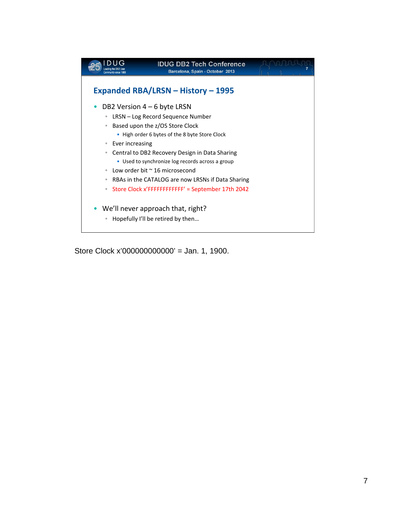

Store Clock x'0000000000000' = Jan. 1, 1900.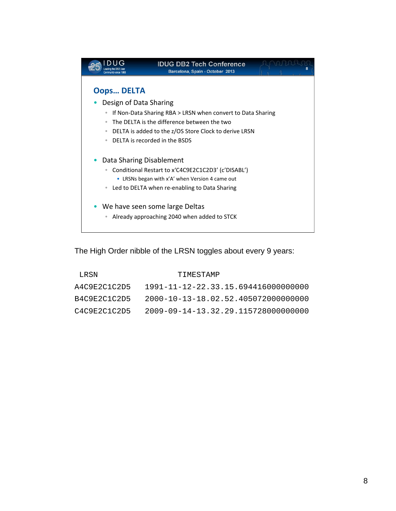

The High Order nibble of the LRSN toggles about every 9 years:

| LRSN.        | TIMESTAMP                                   |
|--------------|---------------------------------------------|
| A4C9E2C1C2D5 | 1991-11-12-22.33.15.694416000000000         |
| B4C9E2C1C2D5 | $2000 - 10 - 13 - 18.02.52.405072000000000$ |
| C4C9E2C1C2D5 | 2009-09-14-13.32.29.115728000000000         |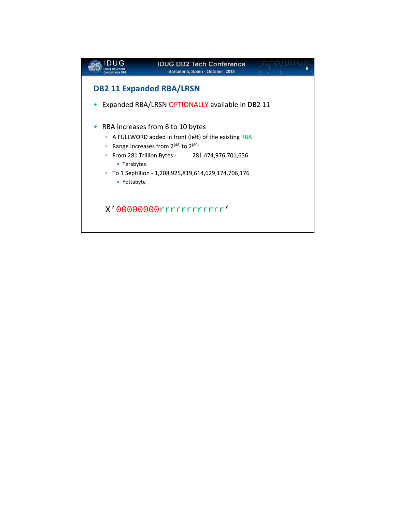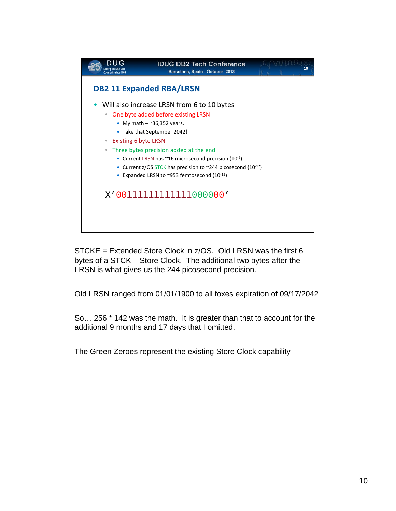

STCKE = Extended Store Clock in z/OS. Old LRSN was the first 6 bytes of a STCK – Store Clock. The additional two bytes after the LRSN is what gives us the 244 picosecond precision.

Old LRSN ranged from 01/01/1900 to all foxes expiration of 09/17/2042

So… 256 \* 142 was the math. It is greater than that to account for the additional 9 months and 17 days that I omitted.

The Green Zeroes represent the existing Store Clock capability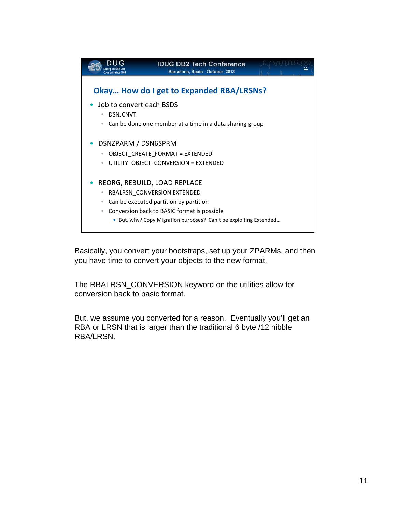

Basically, you convert your bootstraps, set up your ZPARMs, and then you have time to convert your objects to the new format.

The RBALRSN\_CONVERSION keyword on the utilities allow for conversion back to basic format.

But, we assume you converted for a reason. Eventually you'll get an RBA or LRSN that is larger than the traditional 6 byte /12 nibble RBA/LRSN.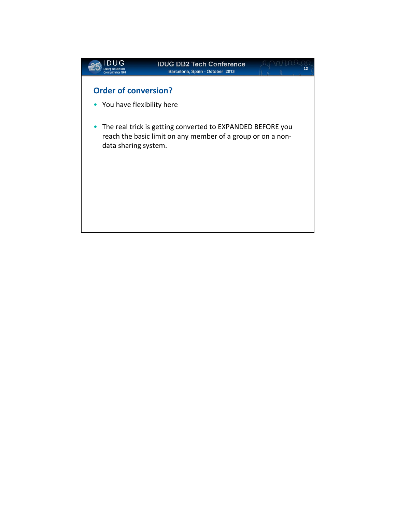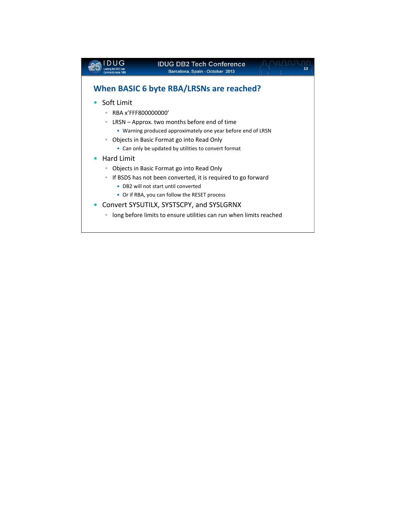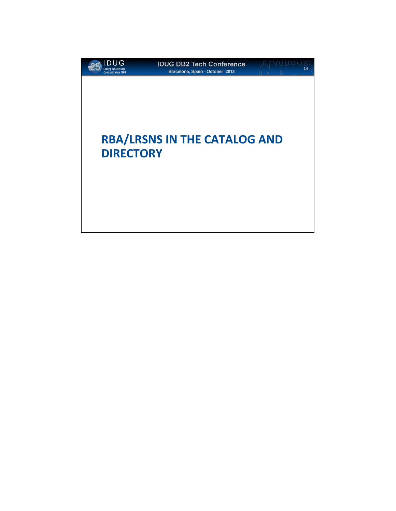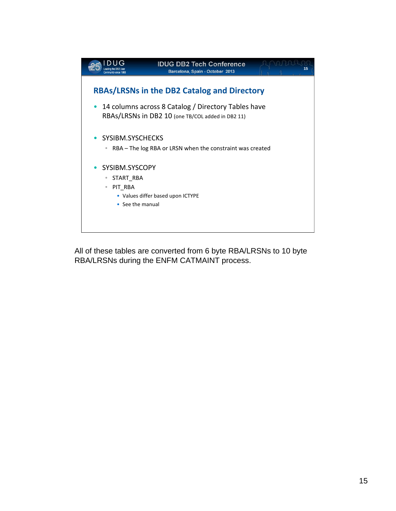

All of these tables are converted from 6 byte RBA/LRSNs to 10 byte RBA/LRSNs during the ENFM CATMAINT process.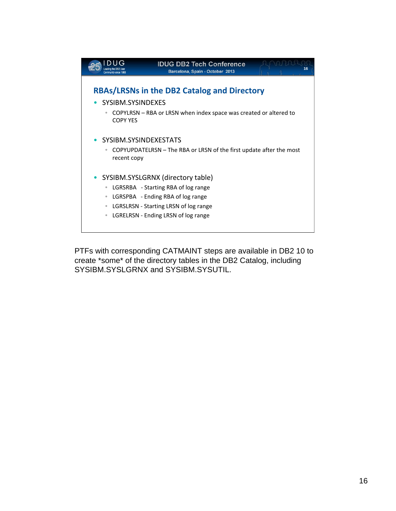

PTFs with corresponding CATMAINT steps are available in DB2 10 to create \*some\* of the directory tables in the DB2 Catalog, including SYSIBM.SYSLGRNX and SYSIBM.SYSUTIL.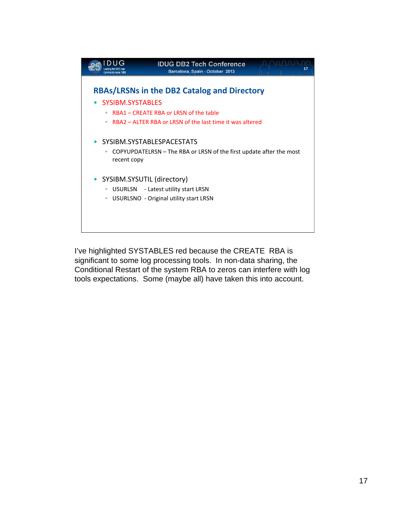

I've highlighted SYSTABLES red because the CREATE RBA is significant to some log processing tools. In non-data sharing, the Conditional Restart of the system RBA to zeros can interfere with log tools expectations. Some (maybe all) have taken this into account.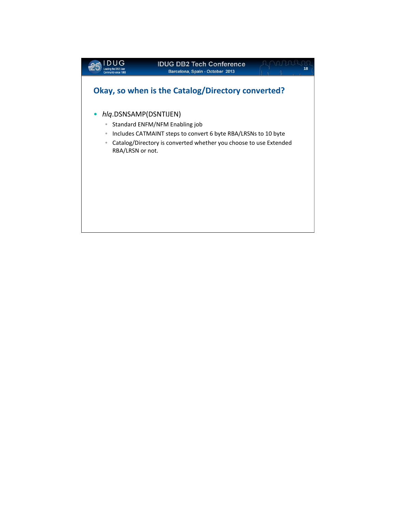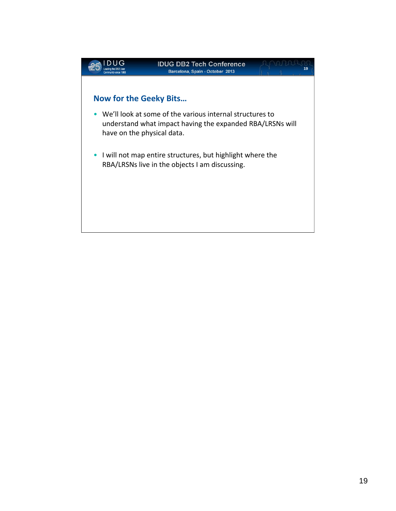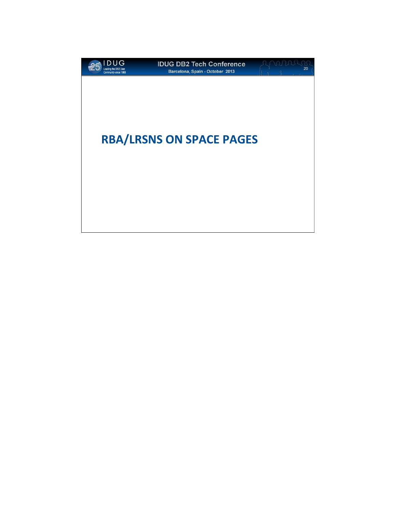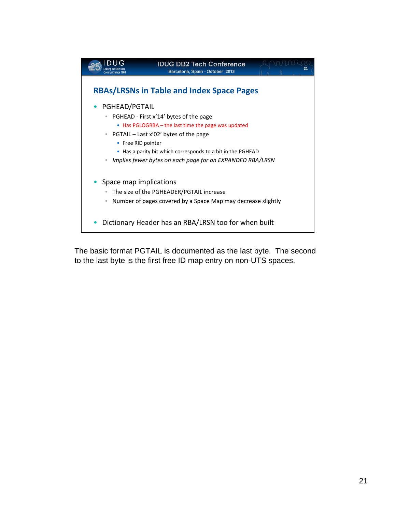

The basic format PGTAIL is documented as the last byte. The second to the last byte is the first free ID map entry on non-UTS spaces.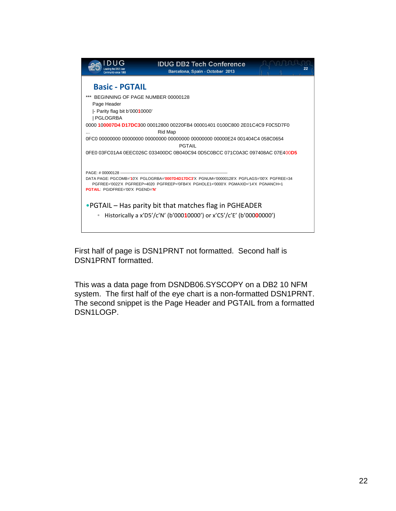

First half of page is DSN1PRNT not formatted. Second half is DSN1PRNT formatted.

This was a data page from DSNDB06.SYSCOPY on a DB2 10 NFM system. The first half of the eye chart is a non-formatted DSN1PRNT. The second snippet is the Page Header and PGTAIL from a formatted DSN1LOGP.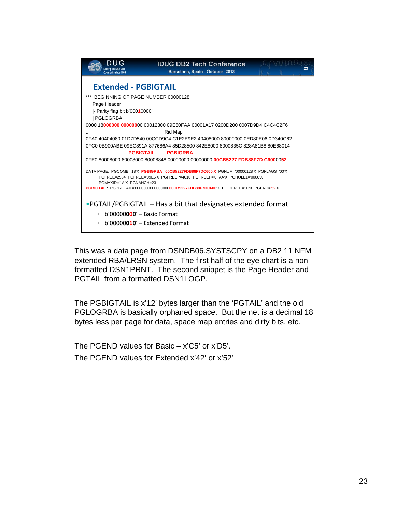

This was a data page from DSNDB06.SYSTSCPY on a DB2 11 NFM extended RBA/LRSN system. The first half of the eye chart is a nonformatted DSN1PRNT. The second snippet is the Page Header and PGTAIL from a formatted DSN1LOGP.

The PGBIGTAIL is x'12' bytes larger than the 'PGTAIL' and the old PGLOGRBA is basically orphaned space. But the net is a decimal 18 bytes less per page for data, space map entries and dirty bits, etc.

The PGEND values for Basic – x'C5' or x'D5'. The PGEND values for Extended x'42' or x'52'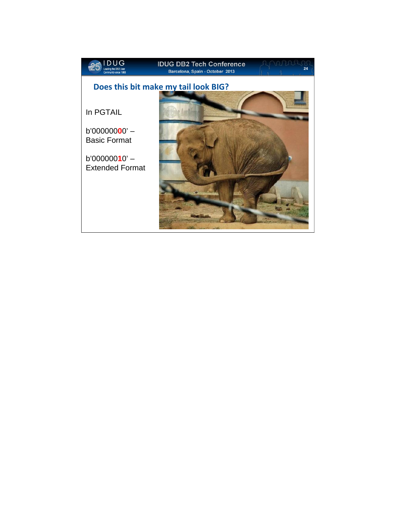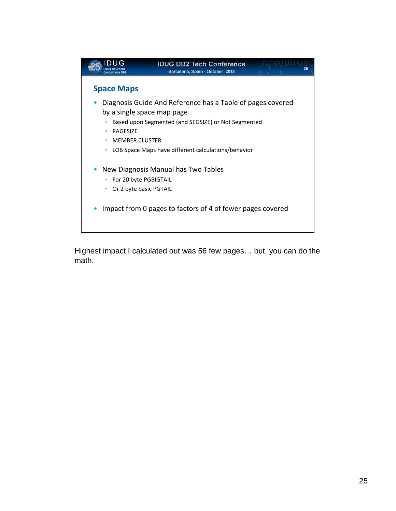

Highest impact I calculated out was 56 few pages… but, you can do the math.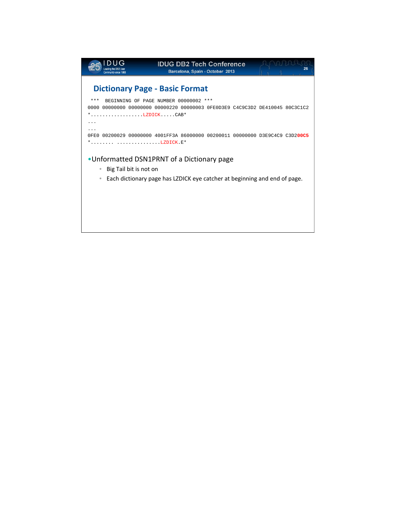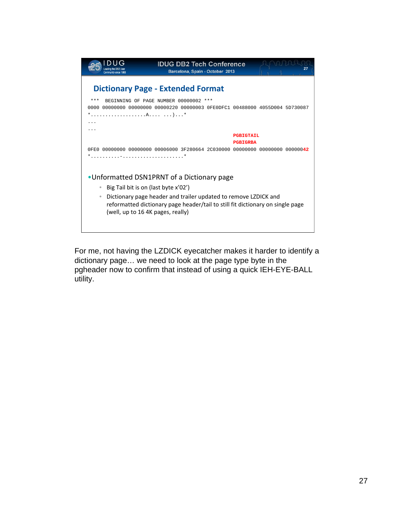

For me, not having the LZDICK eyecatcher makes it harder to identify a dictionary page… we need to look at the page type byte in the pgheader now to confirm that instead of using a quick IEH-EYE-BALL utility.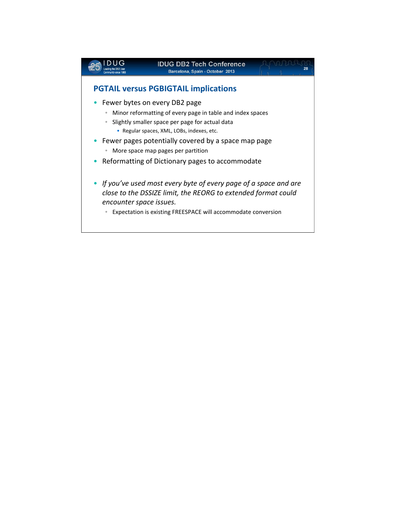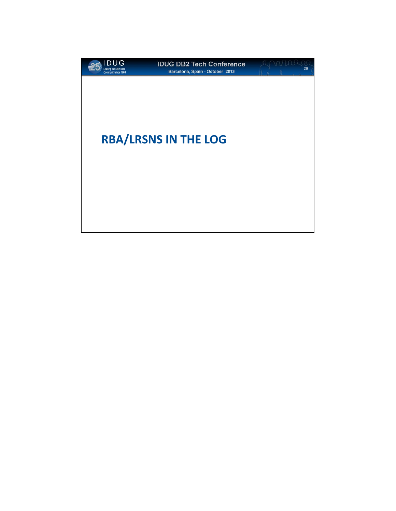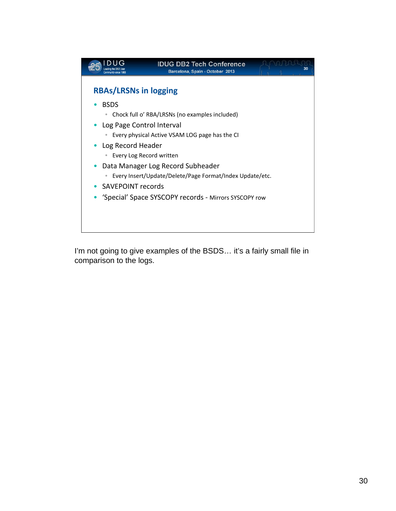

I'm not going to give examples of the BSDS... it's a fairly small file in comparison to the logs.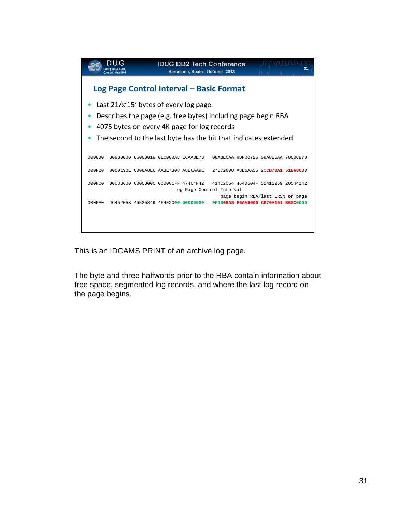

This is an IDCAMS PRINT of an archive log page.

The byte and three halfwords prior to the RBA contain information about free space, segmented log records, and where the last log record on the page begins.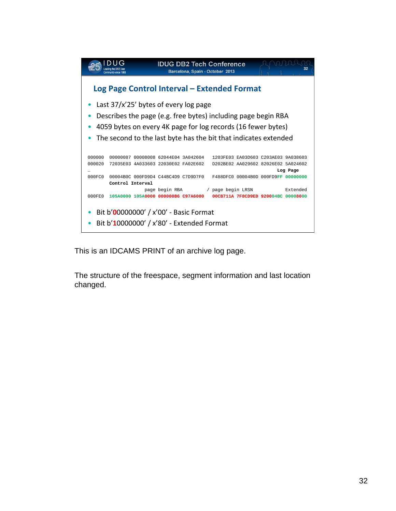

This is an IDCAMS PRINT of an archive log page.

The structure of the freespace, segment information and last location changed.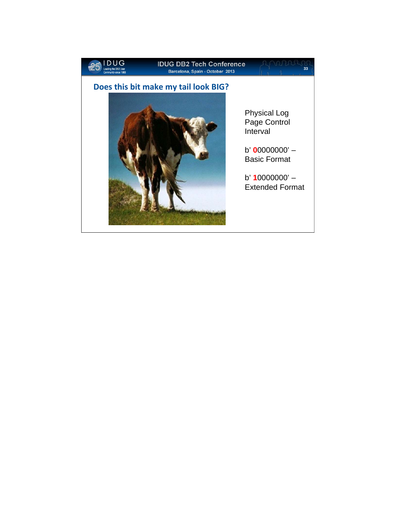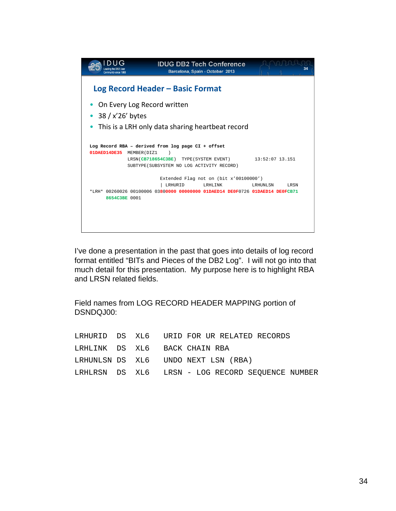| Community since 1988                                                               |                                            | <b>IDUG DB2 Tech Conference</b><br>Barcelona, Spain - October 2013 | 34                |  |
|------------------------------------------------------------------------------------|--------------------------------------------|--------------------------------------------------------------------|-------------------|--|
| Log Record Header – Basic Format                                                   |                                            |                                                                    |                   |  |
| On Every Log Record written                                                        |                                            |                                                                    |                   |  |
| $38 / x'26'$ bytes                                                                 |                                            |                                                                    |                   |  |
| This is a LRH only data sharing heartbeat record                                   |                                            |                                                                    |                   |  |
|                                                                                    |                                            |                                                                    |                   |  |
| Log Record RBA - derived from log page CI + offset<br>01DAED14DE35<br>MEMBER (DIZ1 |                                            |                                                                    |                   |  |
|                                                                                    | LRSN(CB718654C3BE) TYPE(SYSTEM EVENT)      |                                                                    | $13:52:07$ 13.151 |  |
|                                                                                    | SUBTYPE (SUBSYSTEM NO LOG ACTIVITY RECORD) |                                                                    |                   |  |
|                                                                                    |                                            | Extended Flag not on (bit x'00100000')                             |                   |  |
| *LRH* 00260026 00100006 03800000 00000000 01DAED14 DE0F0726 01DAED14 DE0FCB71      | LRHURID                                    | LRHLINK                                                            | LRHUNLSN<br>LRSN  |  |
| 8654C3BE 0001                                                                      |                                            |                                                                    |                   |  |
|                                                                                    |                                            |                                                                    |                   |  |
|                                                                                    |                                            |                                                                    |                   |  |
|                                                                                    |                                            |                                                                    |                   |  |
|                                                                                    |                                            |                                                                    |                   |  |

Field names from LOG RECORD HEADER MAPPING portion of DSNDQJ00:

|  | LRHURID DS XL6 URID FOR UR RELATED RECORDS       |
|--|--------------------------------------------------|
|  | LRHLINK DS XL6 BACK CHAIN RBA                    |
|  | LRHUNLSN DS XL6 UNDO NEXT LSN (RBA)              |
|  | LRHLRSN DS XL6 LRSN - LOG RECORD SEOUENCE NUMBER |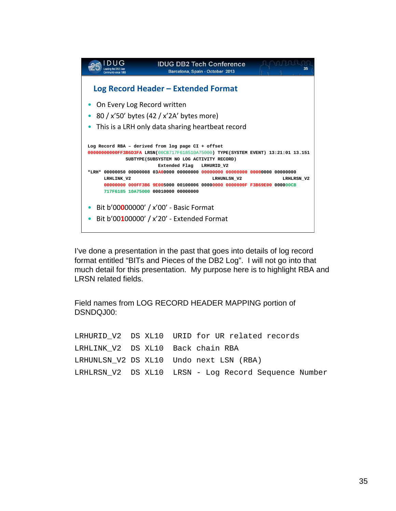

Field names from LOG RECORD HEADER MAPPING portion of DSNDQJ00:

LRHURID V2 DS XL10 URID for UR related records LRHLINK\_V2 DS XL10 Back chain RBA LRHUNLSN\_V2 DS XL10 Undo next LSN (RBA) LRHLRSN\_V2 DS XL10 LRSN - Log Record Sequence Number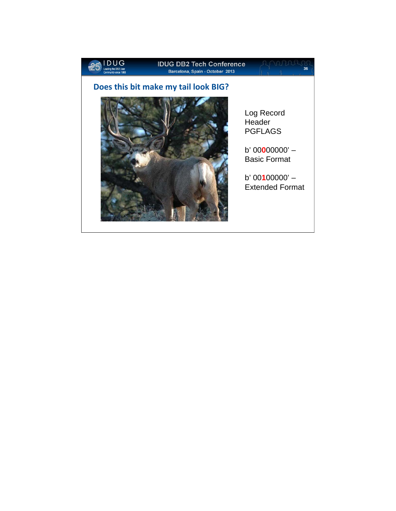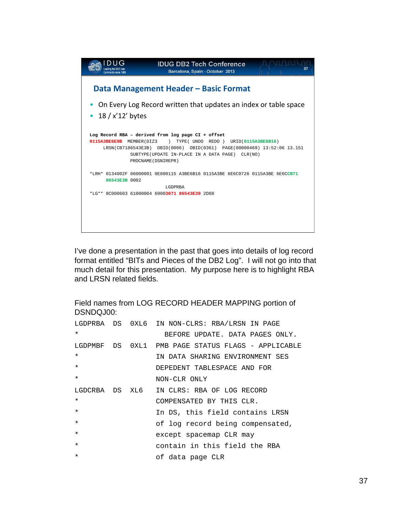

Field names from LOG RECORD HEADER MAPPING portion of DSNDQJ00:

|         |  | LGDPRBA DS 0XL6 IN NON-CLRS: RBA/LRSN IN PAGE      |
|---------|--|----------------------------------------------------|
| $\star$ |  | BEFORE UPDATE. DATA PAGES ONLY.                    |
|         |  | LGDPMBF DS 0XL1 PMB PAGE STATUS FLAGS - APPLICABLE |
| $\star$ |  | IN DATA SHARING ENVIRONMENT SES                    |
| $\star$ |  | DEPEDENT TABLESPACE AND FOR                        |
| $\star$ |  | NON-CLR ONLY                                       |
|         |  | LGDCRBA DS XL6 IN CLRS: RBA OF LOG RECORD          |
| $\star$ |  | COMPENSATED BY THIS CLR.                           |
| $\star$ |  | In DS, this field contains LRSN                    |
| $\star$ |  | of log record being compensated,                   |
| $\star$ |  | except spacemap CLR may                            |
| $\star$ |  | contain in this field the RBA                      |
| $\star$ |  | of data page CLR                                   |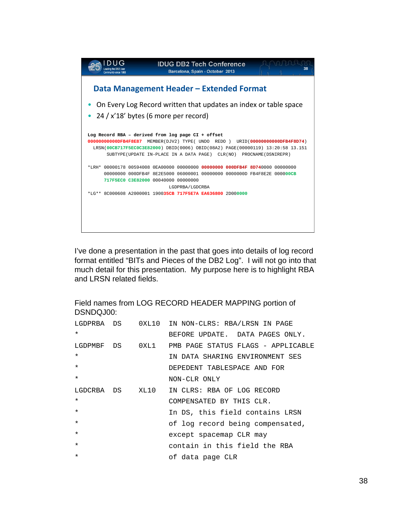| Community since 198 | <b>IDUG DB2 Tech Conference</b><br>Barcelona, Spain - October 2013                                                                                                                                                                                                                             | 38 |
|---------------------|------------------------------------------------------------------------------------------------------------------------------------------------------------------------------------------------------------------------------------------------------------------------------------------------|----|
|                     | Data Management Header – Extended Format                                                                                                                                                                                                                                                       |    |
|                     | On Every Log Record written that updates an index or table space<br>$24 / x'$ 18' bytes (6 more per record)                                                                                                                                                                                    |    |
|                     | Log Record RBA - derived from log page CI + offset<br>00000000000DFB4F8E87 MEMBER(DJV2) TYPE(UNDO REDO)<br>URID(00000000000DFB4F8D74)<br>LRSN(00CB717F5EC0C3E82000) DBID(0006) OBID(08A2) PAGE(00000119) 13:20:58 13.151<br>SUBTYPE(UPDATE IN-PLACE IN A DATA PAGE) CLR(NO) PROCNAME(DSNIREPR) |    |
|                     | $*$ t.rh $*$ 00000178 00594008 0ra00000 00000000 <b>00000000 000DFB4F 8D74</b> 0000 00000000<br>00000000 000DFB4F 8E2E5000 06000001 00000000 0000000D FB4F8E2E 000000CB<br>717F5EC0 C3E82000 00040000 00000000<br>LGDPRBA/LGDCRBA                                                              |    |
|                     | *LG** 8C000608 A2000001 190035CB 717F5E7A EA636800 2D000000                                                                                                                                                                                                                                    |    |
|                     |                                                                                                                                                                                                                                                                                                |    |

Field names from LOG RECORD HEADER MAPPING portion of DSNDQJ00:

| LGDPRBA DS      |      | 0XL10 IN NON-CLRS: RBA/LRSN IN PAGE |
|-----------------|------|-------------------------------------|
| $\star$         |      | BEFORE UPDATE. DATA PAGES ONLY.     |
| LGDPMBF DS      | OXL1 | PMB PAGE STATUS FLAGS - APPLICABLE  |
| $\star$         |      | IN DATA SHARING ENVIRONMENT SES     |
| $\star$         |      | DEPEDENT TABLESPACE AND FOR         |
| $\star$         |      | NON-CLR ONLY                        |
| LGDCRBA DS XL10 |      | IN CLRS: RBA OF LOG RECORD          |
| $\star$         |      | COMPENSATED BY THIS CLR.            |
| $\star$         |      | In DS, this field contains LRSN     |
| $\star$         |      | of log record being compensated,    |
| $\star$         |      | except spacemap CLR may             |
| $\star$         |      | contain in this field the RBA       |
| $\star$         |      | of data page CLR                    |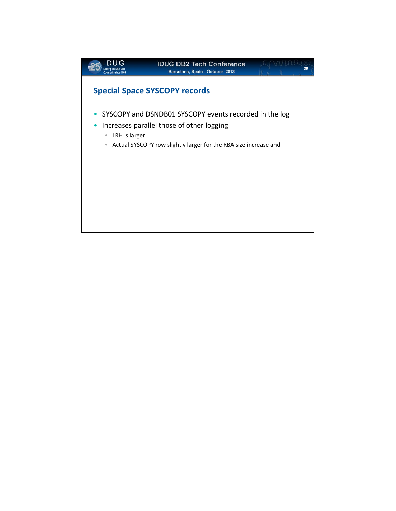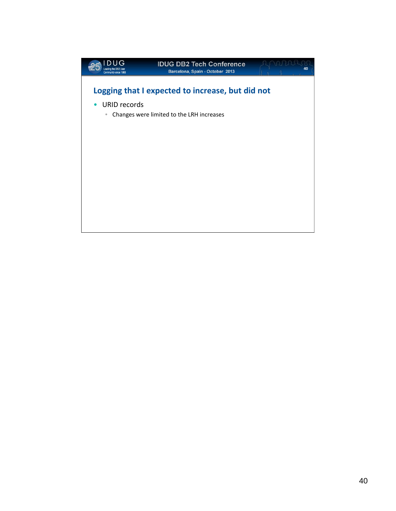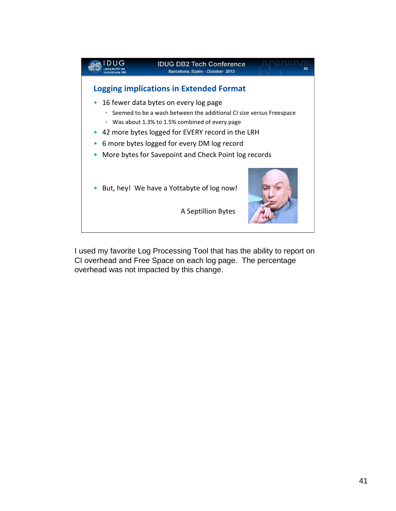

I used my favorite Log Processing Tool that has the ability to report on CI overhead and Free Space on each log page. The percentage overhead was not impacted by this change.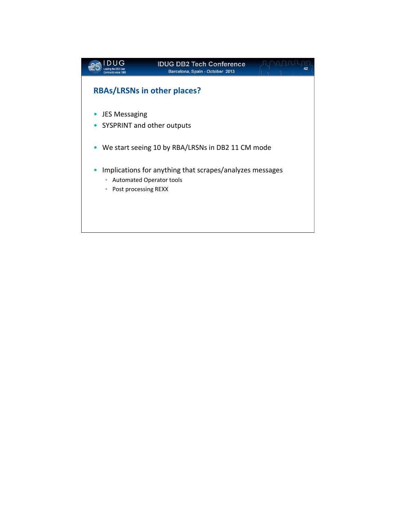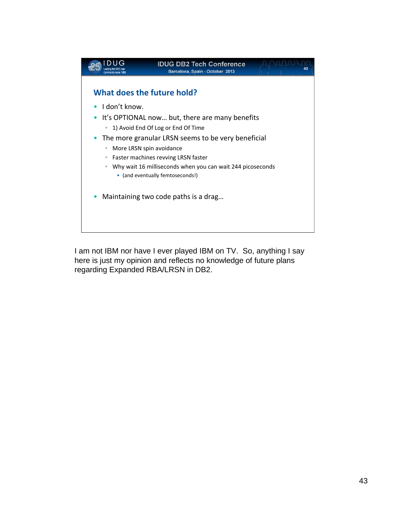

I am not IBM nor have I ever played IBM on TV. So, anything I say here is just my opinion and reflects no knowledge of future plans regarding Expanded RBA/LRSN in DB2.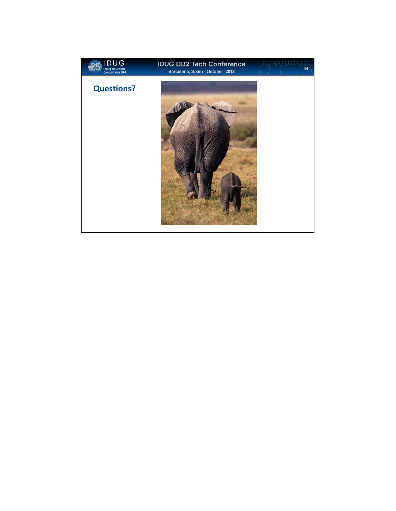